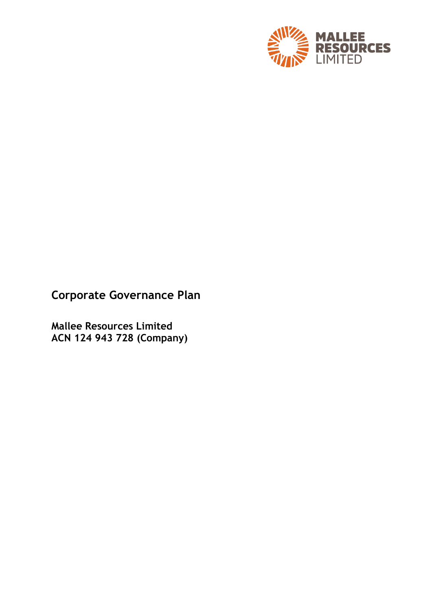

# **Corporate Governance Plan**

**Mallee Resources Limited ACN 124 943 728 (Company)**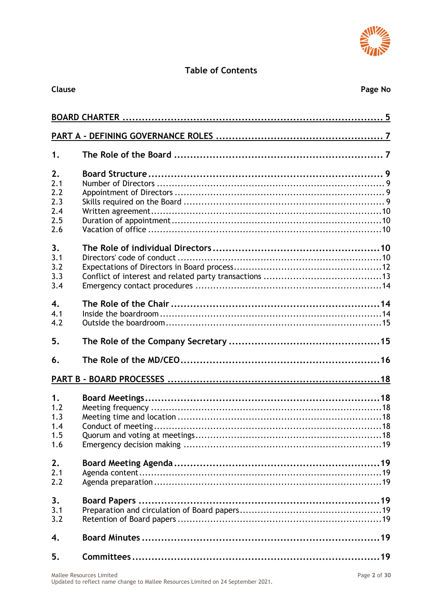

# **Table of Contents**

| Clause                                       | Page No |
|----------------------------------------------|---------|
|                                              |         |
|                                              |         |
| 1.                                           |         |
| 2.<br>2.1<br>2.2<br>2.3<br>2.4<br>2.5<br>2.6 |         |
| 3.<br>3.1<br>3.2<br>3.3<br>3.4               |         |
| $\overline{4}$ .<br>4.1<br>4.2               |         |
| 5.                                           |         |
| 6.                                           |         |
|                                              |         |
| 1.<br>1.2<br>1.3<br>1.4<br>1.5<br>1.6        |         |
| 2.<br>2.1<br>2.2                             |         |
| 3.<br>3.1<br>3.2                             |         |
| 4.                                           |         |
| 5.                                           |         |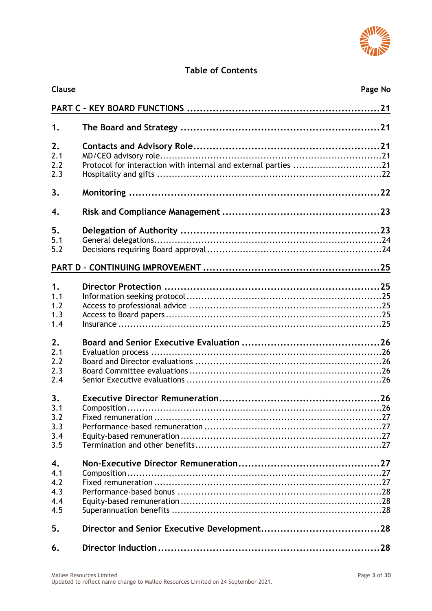

# **Table of Contents**

| Clause                                |                                                                | Page No |  |
|---------------------------------------|----------------------------------------------------------------|---------|--|
|                                       |                                                                |         |  |
| 1.                                    |                                                                |         |  |
| 2.<br>2.1<br>2.2<br>2.3               | Protocol for interaction with internal and external parties 21 |         |  |
| 3.                                    |                                                                |         |  |
| 4.                                    |                                                                |         |  |
| 5.<br>5.1<br>5.2                      |                                                                |         |  |
|                                       |                                                                |         |  |
| 1.<br>1.1<br>1.2<br>1.3<br>1.4<br>2.  |                                                                |         |  |
| 2.1<br>2.2<br>2.3<br>2.4              |                                                                |         |  |
| 3.<br>3.1<br>3.2<br>3.3<br>3.4<br>3.5 |                                                                |         |  |
| 4.<br>4.1<br>4.2<br>4.3<br>4.4<br>4.5 |                                                                |         |  |
| 5.                                    |                                                                |         |  |
| 6.                                    |                                                                |         |  |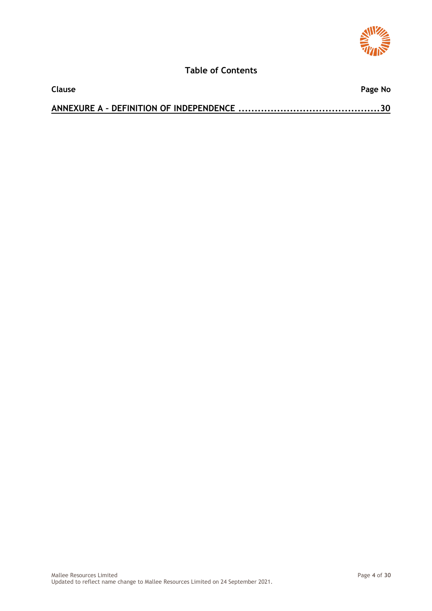

## **Table of Contents**

| <b>Clause</b> | Page No |
|---------------|---------|
|               |         |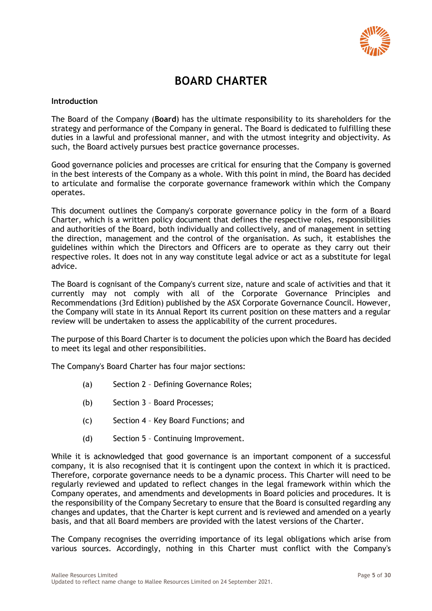

# **BOARD CHARTER**

#### <span id="page-4-0"></span>**Introduction**

The Board of the Company (**Board**) has the ultimate responsibility to its shareholders for the strategy and performance of the Company in general. The Board is dedicated to fulfilling these duties in a lawful and professional manner, and with the utmost integrity and objectivity. As such, the Board actively pursues best practice governance processes.

Good governance policies and processes are critical for ensuring that the Company is governed in the best interests of the Company as a whole. With this point in mind, the Board has decided to articulate and formalise the corporate governance framework within which the Company operates.

This document outlines the Company's corporate governance policy in the form of a Board Charter, which is a written policy document that defines the respective roles, responsibilities and authorities of the Board, both individually and collectively, and of management in setting the direction, management and the control of the organisation. As such, it establishes the guidelines within which the Directors and Officers are to operate as they carry out their respective roles. It does not in any way constitute legal advice or act as a substitute for legal advice.

The Board is cognisant of the Company's current size, nature and scale of activities and that it currently may not comply with all of the Corporate Governance Principles and Recommendations (3rd Edition) published by the ASX Corporate Governance Council. However, the Company will state in its Annual Report its current position on these matters and a regular review will be undertaken to assess the applicability of the current procedures.

The purpose of this Board Charter is to document the policies upon which the Board has decided to meet its legal and other responsibilities.

The Company's Board Charter has four major sections:

- (a) Section 2 Defining Governance Roles;
- (b) Section 3 Board Processes;
- (c) Section 4 Key Board Functions; and
- (d) Section 5 Continuing Improvement.

While it is acknowledged that good governance is an important component of a successful company, it is also recognised that it is contingent upon the context in which it is practiced. Therefore, corporate governance needs to be a dynamic process. This Charter will need to be regularly reviewed and updated to reflect changes in the legal framework within which the Company operates, and amendments and developments in Board policies and procedures. It is the responsibility of the Company Secretary to ensure that the Board is consulted regarding any changes and updates, that the Charter is kept current and is reviewed and amended on a yearly basis, and that all Board members are provided with the latest versions of the Charter.

The Company recognises the overriding importance of its legal obligations which arise from various sources. Accordingly, nothing in this Charter must conflict with the Company's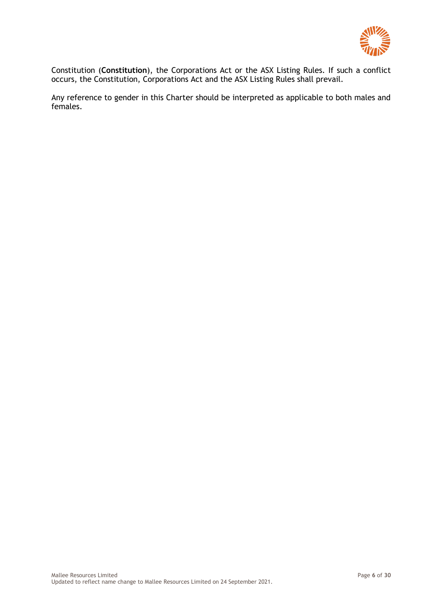

Constitution (**Constitution**), the Corporations Act or the ASX Listing Rules. If such a conflict occurs, the Constitution, Corporations Act and the ASX Listing Rules shall prevail.

Any reference to gender in this Charter should be interpreted as applicable to both males and females.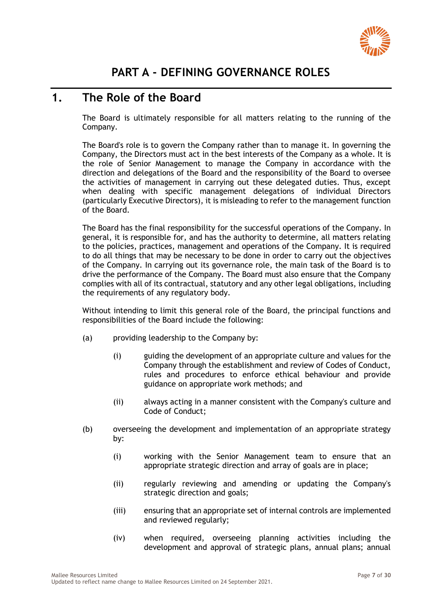

# <span id="page-6-1"></span><span id="page-6-0"></span>**1. The Role of the Board**

The Board is ultimately responsible for all matters relating to the running of the Company.

The Board's role is to govern the Company rather than to manage it. In governing the Company, the Directors must act in the best interests of the Company as a whole. It is the role of Senior Management to manage the Company in accordance with the direction and delegations of the Board and the responsibility of the Board to oversee the activities of management in carrying out these delegated duties. Thus, except when dealing with specific management delegations of individual Directors (particularly Executive Directors), it is misleading to refer to the management function of the Board.

The Board has the final responsibility for the successful operations of the Company. In general, it is responsible for, and has the authority to determine, all matters relating to the policies, practices, management and operations of the Company. It is required to do all things that may be necessary to be done in order to carry out the objectives of the Company. In carrying out its governance role, the main task of the Board is to drive the performance of the Company. The Board must also ensure that the Company complies with all of its contractual, statutory and any other legal obligations, including the requirements of any regulatory body.

Without intending to limit this general role of the Board, the principal functions and responsibilities of the Board include the following:

- (a) providing leadership to the Company by:
	- (i) guiding the development of an appropriate culture and values for the Company through the establishment and review of Codes of Conduct, rules and procedures to enforce ethical behaviour and provide guidance on appropriate work methods; and
	- (ii) always acting in a manner consistent with the Company's culture and Code of Conduct;
- (b) overseeing the development and implementation of an appropriate strategy by:
	- (i) working with the Senior Management team to ensure that an appropriate strategic direction and array of goals are in place;
	- (ii) regularly reviewing and amending or updating the Company's strategic direction and goals;
	- (iii) ensuring that an appropriate set of internal controls are implemented and reviewed regularly;
	- (iv) when required, overseeing planning activities including the development and approval of strategic plans, annual plans; annual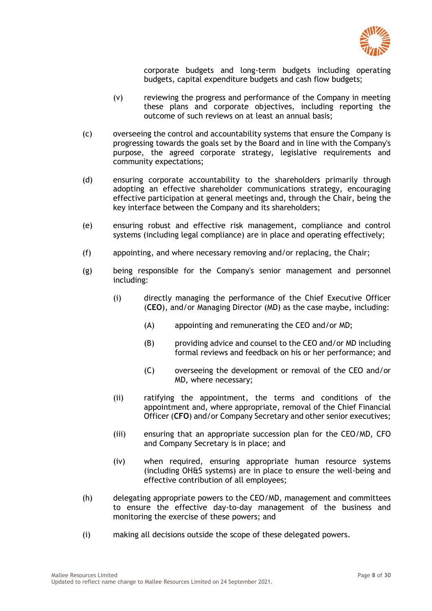

corporate budgets and long-term budgets including operating budgets, capital expenditure budgets and cash flow budgets;

- (v) reviewing the progress and performance of the Company in meeting these plans and corporate objectives, including reporting the outcome of such reviews on at least an annual basis;
- (c) overseeing the control and accountability systems that ensure the Company is progressing towards the goals set by the Board and in line with the Company's purpose, the agreed corporate strategy, legislative requirements and community expectations;
- (d) ensuring corporate accountability to the shareholders primarily through adopting an effective shareholder communications strategy, encouraging effective participation at general meetings and, through the Chair, being the key interface between the Company and its shareholders;
- (e) ensuring robust and effective risk management, compliance and control systems (including legal compliance) are in place and operating effectively;
- (f) appointing, and where necessary removing and/or replacing, the Chair;
- (g) being responsible for the Company's senior management and personnel including:
	- (i) directly managing the performance of the Chief Executive Officer (**CEO**), and/or Managing Director (MD) as the case maybe, including:
		- (A) appointing and remunerating the CEO and/or MD;
		- (B) providing advice and counsel to the CEO and/or MD including formal reviews and feedback on his or her performance; and
		- (C) overseeing the development or removal of the CEO and/or MD, where necessary;
	- (ii) ratifying the appointment, the terms and conditions of the appointment and, where appropriate, removal of the Chief Financial Officer (**CFO**) and/or Company Secretary and other senior executives;
	- (iii) ensuring that an appropriate succession plan for the CEO/MD, CFO and Company Secretary is in place; and
	- (iv) when required, ensuring appropriate human resource systems (including OH&S systems) are in place to ensure the well-being and effective contribution of all employees;
- (h) delegating appropriate powers to the CEO/MD, management and committees to ensure the effective day-to-day management of the business and monitoring the exercise of these powers; and
- (i) making all decisions outside the scope of these delegated powers.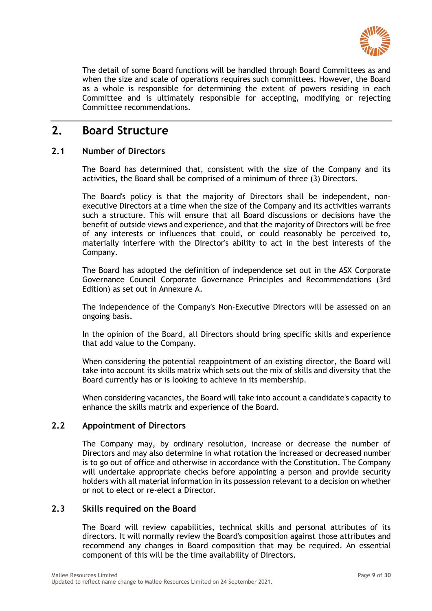

The detail of some Board functions will be handled through Board Committees as and when the size and scale of operations requires such committees. However, the Board as a whole is responsible for determining the extent of powers residing in each Committee and is ultimately responsible for accepting, modifying or rejecting Committee recommendations.

# <span id="page-8-0"></span>**2. Board Structure**

### <span id="page-8-1"></span>**2.1 Number of Directors**

The Board has determined that, consistent with the size of the Company and its activities, the Board shall be comprised of a minimum of three (3) Directors.

The Board's policy is that the majority of Directors shall be independent, nonexecutive Directors at a time when the size of the Company and its activities warrants such a structure. This will ensure that all Board discussions or decisions have the benefit of outside views and experience, and that the majority of Directors will be free of any interests or influences that could, or could reasonably be perceived to, materially interfere with the Director's ability to act in the best interests of the Company.

The Board has adopted the definition of independence set out in the ASX Corporate Governance Council Corporate Governance Principles and Recommendations (3rd Edition) as set out in Annexure A.

The independence of the Company's Non-Executive Directors will be assessed on an ongoing basis.

In the opinion of the Board, all Directors should bring specific skills and experience that add value to the Company.

When considering the potential reappointment of an existing director, the Board will take into account its skills matrix which sets out the mix of skills and diversity that the Board currently has or is looking to achieve in its membership.

When considering vacancies, the Board will take into account a candidate's capacity to enhance the skills matrix and experience of the Board.

### <span id="page-8-2"></span>**2.2 Appointment of Directors**

The Company may, by ordinary resolution, increase or decrease the number of Directors and may also determine in what rotation the increased or decreased number is to go out of office and otherwise in accordance with the Constitution. The Company will undertake appropriate checks before appointing a person and provide security holders with all material information in its possession relevant to a decision on whether or not to elect or re-elect a Director.

### <span id="page-8-3"></span>**2.3 Skills required on the Board**

The Board will review capabilities, technical skills and personal attributes of its directors. It will normally review the Board's composition against those attributes and recommend any changes in Board composition that may be required. An essential component of this will be the time availability of Directors.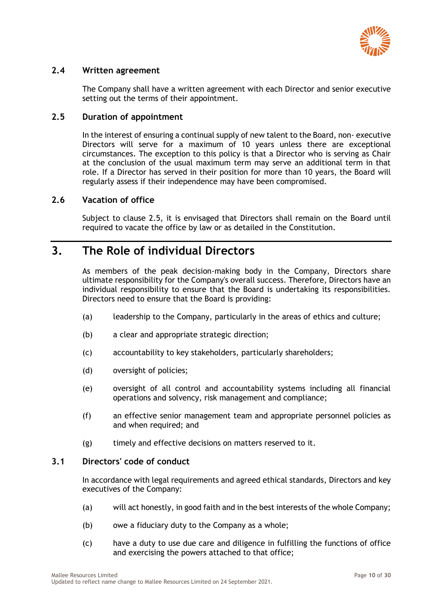

### <span id="page-9-0"></span>**2.4 Written agreement**

The Company shall have a written agreement with each Director and senior executive setting out the terms of their appointment.

### <span id="page-9-1"></span>**2.5 Duration of appointment**

In the interest of ensuring a continual supply of new talent to the Board, non- executive Directors will serve for a maximum of 10 years unless there are exceptional circumstances. The exception to this policy is that a Director who is serving as Chair at the conclusion of the usual maximum term may serve an additional term in that role. If a Director has served in their position for more than 10 years, the Board will regularly assess if their independence may have been compromised.

### <span id="page-9-2"></span>**2.6 Vacation of office**

Subject to clause [2.5,](#page-9-1) it is envisaged that Directors shall remain on the Board until required to vacate the office by law or as detailed in the Constitution.

# <span id="page-9-3"></span>**3. The Role of individual Directors**

As members of the peak decision-making body in the Company, Directors share ultimate responsibility for the Company's overall success. Therefore, Directors have an individual responsibility to ensure that the Board is undertaking its responsibilities. Directors need to ensure that the Board is providing:

- (a) leadership to the Company, particularly in the areas of ethics and culture;
- (b) a clear and appropriate strategic direction;
- (c) accountability to key stakeholders, particularly shareholders;
- (d) oversight of policies;
- (e) oversight of all control and accountability systems including all financial operations and solvency, risk management and compliance;
- (f) an effective senior management team and appropriate personnel policies as and when required; and
- (g) timely and effective decisions on matters reserved to it.

### <span id="page-9-4"></span>**3.1 Directors' code of conduct**

In accordance with legal requirements and agreed ethical standards, Directors and key executives of the Company:

- (a) will act honestly, in good faith and in the best interests of the whole Company;
- (b) owe a fiduciary duty to the Company as a whole;
- (c) have a duty to use due care and diligence in fulfilling the functions of office and exercising the powers attached to that office;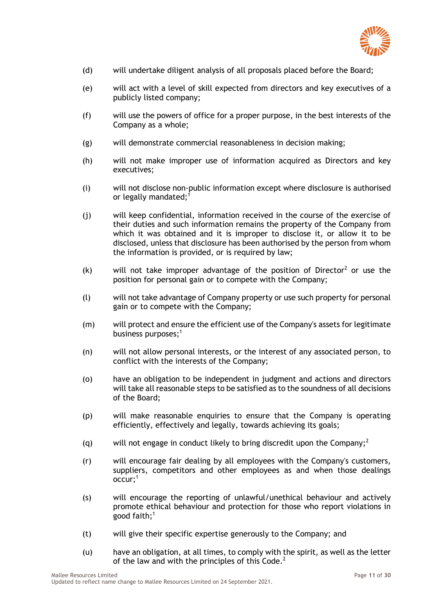

- (d) will undertake diligent analysis of all proposals placed before the Board;
- (e) will act with a level of skill expected from directors and key executives of a publicly listed company;
- (f) will use the powers of office for a proper purpose, in the best interests of the Company as a whole;
- (g) will demonstrate commercial reasonableness in decision making;
- (h) will not make improper use of information acquired as Directors and key executives;
- (i) will not disclose non-public information except where disclosure is authorised or legally mandated;<sup>1</sup>
- (j) will keep confidential, information received in the course of the exercise of their duties and such information remains the property of the Company from which it was obtained and it is improper to disclose it, or allow it to be disclosed, unless that disclosure has been authorised by the person from whom the information is provided, or is required by law;
- $(k)$  will not take improper advantage of the position of Director<sup>2</sup> or use the position for personal gain or to compete with the Company;
- (l) will not take advantage of Company property or use such property for personal gain or to compete with the Company;
- (m) will protect and ensure the efficient use of the Company's assets for legitimate business purposes;<sup>1</sup>
- (n) will not allow personal interests, or the interest of any associated person, to conflict with the interests of the Company;
- (o) have an obligation to be independent in judgment and actions and directors will take all reasonable steps to be satisfied as to the soundness of all decisions of the Board;
- (p) will make reasonable enquiries to ensure that the Company is operating efficiently, effectively and legally, towards achieving its goals;
- (g) will not engage in conduct likely to bring discredit upon the Company:<sup>2</sup>
- (r) will encourage fair dealing by all employees with the Company's customers, suppliers, competitors and other employees as and when those dealings  $occur$ :<sup>1</sup>
- (s) will encourage the reporting of unlawful/unethical behaviour and actively promote ethical behaviour and protection for those who report violations in good faith; $<sup>1</sup>$ </sup>
- (t) will give their specific expertise generously to the Company; and
- (u) have an obligation, at all times, to comply with the spirit, as well as the letter of the law and with the principles of this  $Code<sup>2</sup>$ .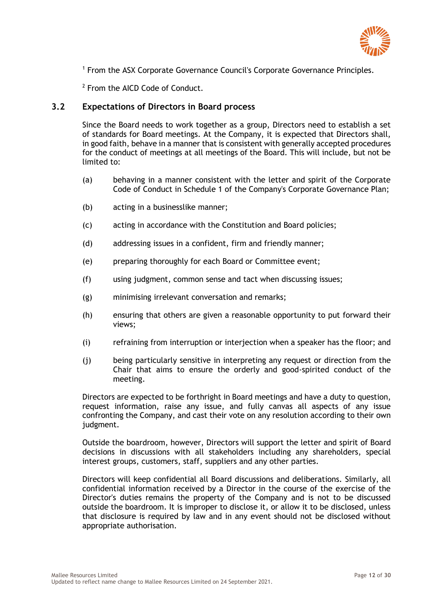

<sup>1</sup> From the ASX Corporate Governance Council's Corporate Governance Principles.

<sup>2</sup> From the AICD Code of Conduct.

### <span id="page-11-0"></span>**3.2 Expectations of Directors in Board process**

Since the Board needs to work together as a group, Directors need to establish a set of standards for Board meetings. At the Company, it is expected that Directors shall, in good faith, behave in a manner that is consistent with generally accepted procedures for the conduct of meetings at all meetings of the Board. This will include, but not be limited to:

- (a) behaving in a manner consistent with the letter and spirit of the Corporate Code of Conduct in Schedule 1 of the Company's Corporate Governance Plan;
- (b) acting in a businesslike manner;
- (c) acting in accordance with the Constitution and Board policies;
- (d) addressing issues in a confident, firm and friendly manner;
- (e) preparing thoroughly for each Board or Committee event;
- (f) using judgment, common sense and tact when discussing issues;
- (g) minimising irrelevant conversation and remarks;
- (h) ensuring that others are given a reasonable opportunity to put forward their views;
- (i) refraining from interruption or interjection when a speaker has the floor; and
- (j) being particularly sensitive in interpreting any request or direction from the Chair that aims to ensure the orderly and good-spirited conduct of the meeting.

Directors are expected to be forthright in Board meetings and have a duty to question, request information, raise any issue, and fully canvas all aspects of any issue confronting the Company, and cast their vote on any resolution according to their own judgment.

Outside the boardroom, however, Directors will support the letter and spirit of Board decisions in discussions with all stakeholders including any shareholders, special interest groups, customers, staff, suppliers and any other parties.

Directors will keep confidential all Board discussions and deliberations. Similarly, all confidential information received by a Director in the course of the exercise of the Director's duties remains the property of the Company and is not to be discussed outside the boardroom. It is improper to disclose it, or allow it to be disclosed, unless that disclosure is required by law and in any event should not be disclosed without appropriate authorisation.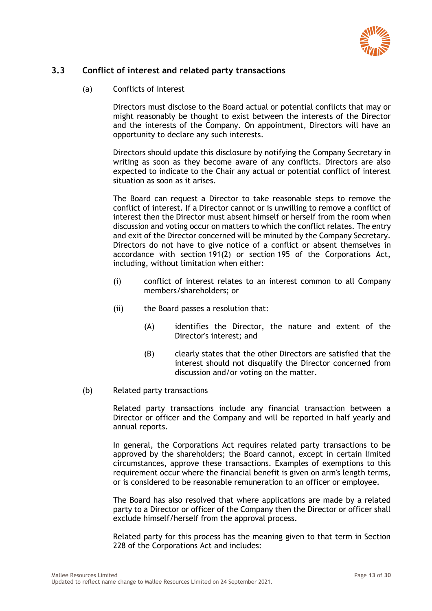

### <span id="page-12-0"></span>**3.3 Conflict of interest and related party transactions**

(a) Conflicts of interest

Directors must disclose to the Board actual or potential conflicts that may or might reasonably be thought to exist between the interests of the Director and the interests of the Company. On appointment, Directors will have an opportunity to declare any such interests.

Directors should update this disclosure by notifying the Company Secretary in writing as soon as they become aware of any conflicts. Directors are also expected to indicate to the Chair any actual or potential conflict of interest situation as soon as it arises.

The Board can request a Director to take reasonable steps to remove the conflict of interest. If a Director cannot or is unwilling to remove a conflict of interest then the Director must absent himself or herself from the room when discussion and voting occur on matters to which the conflict relates. The entry and exit of the Director concerned will be minuted by the Company Secretary. Directors do not have to give notice of a conflict or absent themselves in accordance with section 191(2) or section 195 of the Corporations Act, including, without limitation when either:

- (i) conflict of interest relates to an interest common to all Company members/shareholders; or
- (ii) the Board passes a resolution that:
	- (A) identifies the Director, the nature and extent of the Director's interest; and
	- (B) clearly states that the other Directors are satisfied that the interest should not disqualify the Director concerned from discussion and/or voting on the matter.
- (b) Related party transactions

Related party transactions include any financial transaction between a Director or officer and the Company and will be reported in half yearly and annual reports.

In general, the Corporations Act requires related party transactions to be approved by the shareholders; the Board cannot, except in certain limited circumstances, approve these transactions. Examples of exemptions to this requirement occur where the financial benefit is given on arm's length terms, or is considered to be reasonable remuneration to an officer or employee.

The Board has also resolved that where applications are made by a related party to a Director or officer of the Company then the Director or officer shall exclude himself/herself from the approval process.

Related party for this process has the meaning given to that term in Section 228 of the Corporations Act and includes: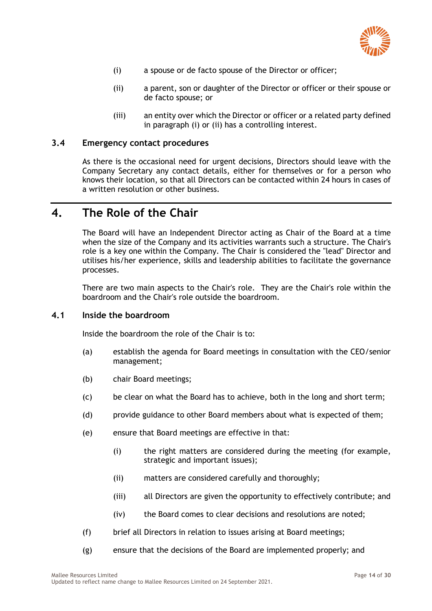

- <span id="page-13-4"></span><span id="page-13-3"></span>(i) a spouse or de facto spouse of the Director or officer;
- (ii) a parent, son or daughter of the Director or officer or their spouse or de facto spouse; or
- (iii) an entity over which the Director or officer or a related party defined in paragraph [\(i\)](#page-13-3) or [\(ii\)](#page-13-4) has a controlling interest.

### <span id="page-13-0"></span>**3.4 Emergency contact procedures**

As there is the occasional need for urgent decisions, Directors should leave with the Company Secretary any contact details, either for themselves or for a person who knows their location, so that all Directors can be contacted within 24 hours in cases of a written resolution or other business.

# <span id="page-13-1"></span>**4. The Role of the Chair**

The Board will have an Independent Director acting as Chair of the Board at a time when the size of the Company and its activities warrants such a structure. The Chair's role is a key one within the Company. The Chair is considered the "lead" Director and utilises his/her experience, skills and leadership abilities to facilitate the governance processes.

There are two main aspects to the Chair's role. They are the Chair's role within the boardroom and the Chair's role outside the boardroom.

### <span id="page-13-2"></span>**4.1 Inside the boardroom**

Inside the boardroom the role of the Chair is to:

- (a) establish the agenda for Board meetings in consultation with the CEO/senior management;
- (b) chair Board meetings;
- (c) be clear on what the Board has to achieve, both in the long and short term;
- (d) provide guidance to other Board members about what is expected of them;
- (e) ensure that Board meetings are effective in that:
	- (i) the right matters are considered during the meeting (for example, strategic and important issues);
	- (ii) matters are considered carefully and thoroughly;
	- (iii) all Directors are given the opportunity to effectively contribute; and
	- (iv) the Board comes to clear decisions and resolutions are noted;
- (f) brief all Directors in relation to issues arising at Board meetings;
- (g) ensure that the decisions of the Board are implemented properly; and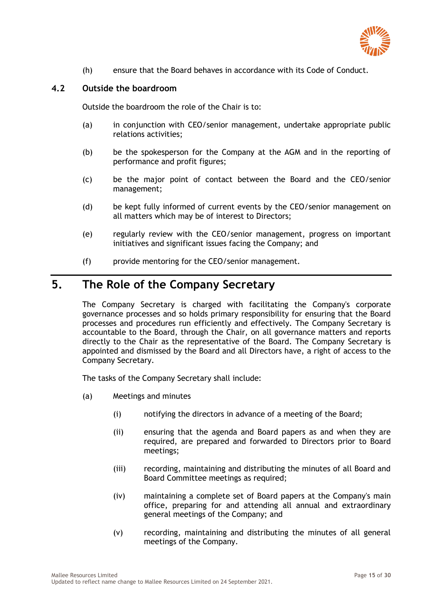

(h) ensure that the Board behaves in accordance with its Code of Conduct.

#### <span id="page-14-0"></span>**4.2 Outside the boardroom**

Outside the boardroom the role of the Chair is to:

- (a) in conjunction with CEO/senior management, undertake appropriate public relations activities;
- (b) be the spokesperson for the Company at the AGM and in the reporting of performance and profit figures;
- (c) be the major point of contact between the Board and the CEO/senior management;
- (d) be kept fully informed of current events by the CEO/senior management on all matters which may be of interest to Directors;
- (e) regularly review with the CEO/senior management, progress on important initiatives and significant issues facing the Company; and
- (f) provide mentoring for the CEO/senior management.

# <span id="page-14-1"></span>**5. The Role of the Company Secretary**

The Company Secretary is charged with facilitating the Company's corporate governance processes and so holds primary responsibility for ensuring that the Board processes and procedures run efficiently and effectively. The Company Secretary is accountable to the Board, through the Chair, on all governance matters and reports directly to the Chair as the representative of the Board. The Company Secretary is appointed and dismissed by the Board and all Directors have, a right of access to the Company Secretary.

The tasks of the Company Secretary shall include:

- (a) Meetings and minutes
	- (i) notifying the directors in advance of a meeting of the Board;
	- (ii) ensuring that the agenda and Board papers as and when they are required, are prepared and forwarded to Directors prior to Board meetings;
	- (iii) recording, maintaining and distributing the minutes of all Board and Board Committee meetings as required;
	- (iv) maintaining a complete set of Board papers at the Company's main office, preparing for and attending all annual and extraordinary general meetings of the Company; and
	- (v) recording, maintaining and distributing the minutes of all general meetings of the Company.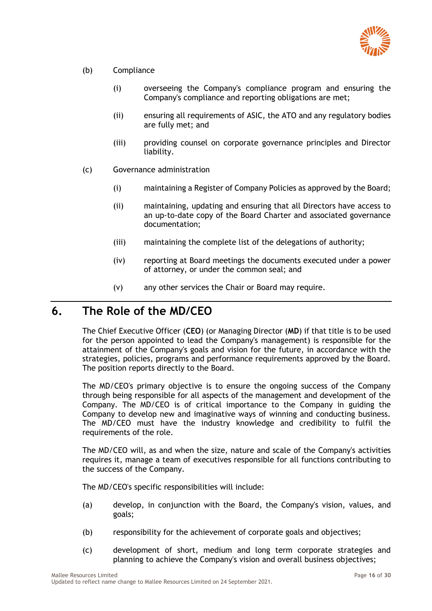

- (b) Compliance
	- (i) overseeing the Company's compliance program and ensuring the Company's compliance and reporting obligations are met;
	- (ii) ensuring all requirements of ASIC, the ATO and any regulatory bodies are fully met; and
	- (iii) providing counsel on corporate governance principles and Director liability.
- (c) Governance administration
	- (i) maintaining a Register of Company Policies as approved by the Board;
	- (ii) maintaining, updating and ensuring that all Directors have access to an up-to-date copy of the Board Charter and associated governance documentation;
	- (iii) maintaining the complete list of the delegations of authority;
	- (iv) reporting at Board meetings the documents executed under a power of attorney, or under the common seal; and
	- (v) any other services the Chair or Board may require.

## <span id="page-15-0"></span>**6. The Role of the MD/CEO**

The Chief Executive Officer (**CEO**) (or Managing Director (**MD**) if that title is to be used for the person appointed to lead the Company's management) is responsible for the attainment of the Company's goals and vision for the future, in accordance with the strategies, policies, programs and performance requirements approved by the Board. The position reports directly to the Board.

The MD/CEO's primary objective is to ensure the ongoing success of the Company through being responsible for all aspects of the management and development of the Company. The MD/CEO is of critical importance to the Company in guiding the Company to develop new and imaginative ways of winning and conducting business. The MD/CEO must have the industry knowledge and credibility to fulfil the requirements of the role.

The MD/CEO will, as and when the size, nature and scale of the Company's activities requires it, manage a team of executives responsible for all functions contributing to the success of the Company.

The MD/CEO's specific responsibilities will include:

- (a) develop, in conjunction with the Board, the Company's vision, values, and goals;
- (b) responsibility for the achievement of corporate goals and objectives;
- (c) development of short, medium and long term corporate strategies and planning to achieve the Company's vision and overall business objectives;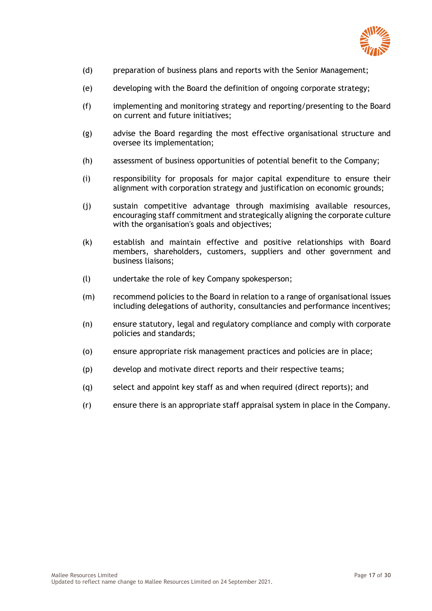

- (d) preparation of business plans and reports with the Senior Management;
- (e) developing with the Board the definition of ongoing corporate strategy;
- (f) implementing and monitoring strategy and reporting/presenting to the Board on current and future initiatives;
- (g) advise the Board regarding the most effective organisational structure and oversee its implementation;
- (h) assessment of business opportunities of potential benefit to the Company;
- (i) responsibility for proposals for major capital expenditure to ensure their alignment with corporation strategy and justification on economic grounds;
- (j) sustain competitive advantage through maximising available resources, encouraging staff commitment and strategically aligning the corporate culture with the organisation's goals and objectives;
- (k) establish and maintain effective and positive relationships with Board members, shareholders, customers, suppliers and other government and business liaisons;
- (l) undertake the role of key Company spokesperson;
- (m) recommend policies to the Board in relation to a range of organisational issues including delegations of authority, consultancies and performance incentives;
- (n) ensure statutory, legal and regulatory compliance and comply with corporate policies and standards;
- (o) ensure appropriate risk management practices and policies are in place;
- (p) develop and motivate direct reports and their respective teams;
- (q) select and appoint key staff as and when required (direct reports); and
- (r) ensure there is an appropriate staff appraisal system in place in the Company.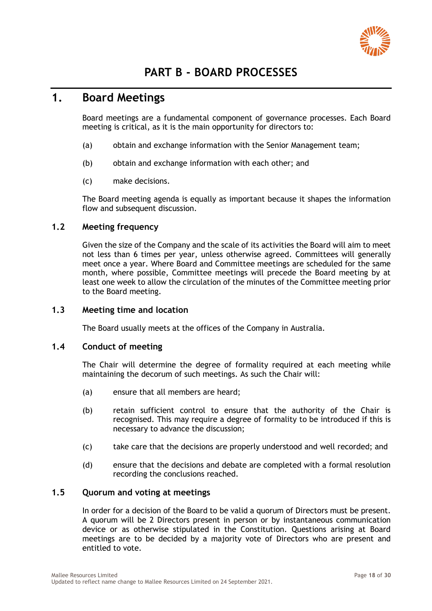

# **PART B - BOARD PROCESSES**

# <span id="page-17-1"></span><span id="page-17-0"></span>**1. Board Meetings**

Board meetings are a fundamental component of governance processes. Each Board meeting is critical, as it is the main opportunity for directors to:

- (a) obtain and exchange information with the Senior Management team;
- (b) obtain and exchange information with each other; and
- (c) make decisions.

The Board meeting agenda is equally as important because it shapes the information flow and subsequent discussion.

### <span id="page-17-2"></span>**1.2 Meeting frequency**

Given the size of the Company and the scale of its activities the Board will aim to meet not less than 6 times per year, unless otherwise agreed. Committees will generally meet once a year. Where Board and Committee meetings are scheduled for the same month, where possible, Committee meetings will precede the Board meeting by at least one week to allow the circulation of the minutes of the Committee meeting prior to the Board meeting.

### <span id="page-17-3"></span>**1.3 Meeting time and location**

The Board usually meets at the offices of the Company in Australia.

### <span id="page-17-4"></span>**1.4 Conduct of meeting**

The Chair will determine the degree of formality required at each meeting while maintaining the decorum of such meetings. As such the Chair will:

- (a) ensure that all members are heard;
- (b) retain sufficient control to ensure that the authority of the Chair is recognised. This may require a degree of formality to be introduced if this is necessary to advance the discussion;
- (c) take care that the decisions are properly understood and well recorded; and
- (d) ensure that the decisions and debate are completed with a formal resolution recording the conclusions reached.

### <span id="page-17-5"></span>**1.5 Quorum and voting at meetings**

In order for a decision of the Board to be valid a quorum of Directors must be present. A quorum will be 2 Directors present in person or by instantaneous communication device or as otherwise stipulated in the Constitution. Questions arising at Board meetings are to be decided by a majority vote of Directors who are present and entitled to vote.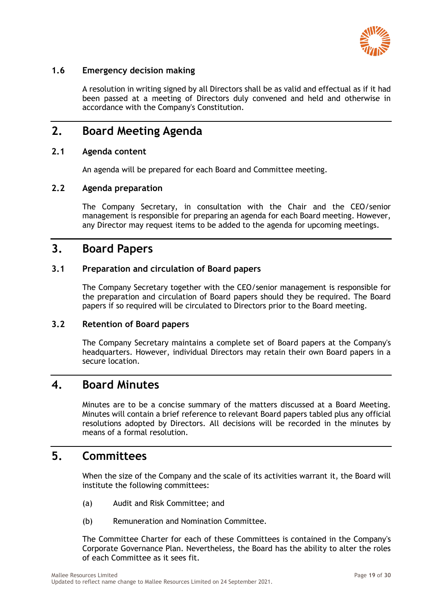

### <span id="page-18-0"></span>**1.6 Emergency decision making**

A resolution in writing signed by all Directors shall be as valid and effectual as if it had been passed at a meeting of Directors duly convened and held and otherwise in accordance with the Company's Constitution.

## <span id="page-18-1"></span>**2. Board Meeting Agenda**

### <span id="page-18-2"></span>**2.1 Agenda content**

An agenda will be prepared for each Board and Committee meeting.

### <span id="page-18-3"></span>**2.2 Agenda preparation**

The Company Secretary, in consultation with the Chair and the CEO/senior management is responsible for preparing an agenda for each Board meeting. However, any Director may request items to be added to the agenda for upcoming meetings.

### <span id="page-18-4"></span>**3. Board Papers**

### <span id="page-18-5"></span>**3.1 Preparation and circulation of Board papers**

The Company Secretary together with the CEO/senior management is responsible for the preparation and circulation of Board papers should they be required. The Board papers if so required will be circulated to Directors prior to the Board meeting.

### <span id="page-18-6"></span>**3.2 Retention of Board papers**

The Company Secretary maintains a complete set of Board papers at the Company's headquarters. However, individual Directors may retain their own Board papers in a secure location.

### <span id="page-18-7"></span>**4. Board Minutes**

Minutes are to be a concise summary of the matters discussed at a Board Meeting. Minutes will contain a brief reference to relevant Board papers tabled plus any official resolutions adopted by Directors. All decisions will be recorded in the minutes by means of a formal resolution.

### <span id="page-18-8"></span>**5. Committees**

When the size of the Company and the scale of its activities warrant it, the Board will institute the following committees:

- (a) Audit and Risk Committee; and
- (b) Remuneration and Nomination Committee.

The Committee Charter for each of these Committees is contained in the Company's Corporate Governance Plan. Nevertheless, the Board has the ability to alter the roles of each Committee as it sees fit.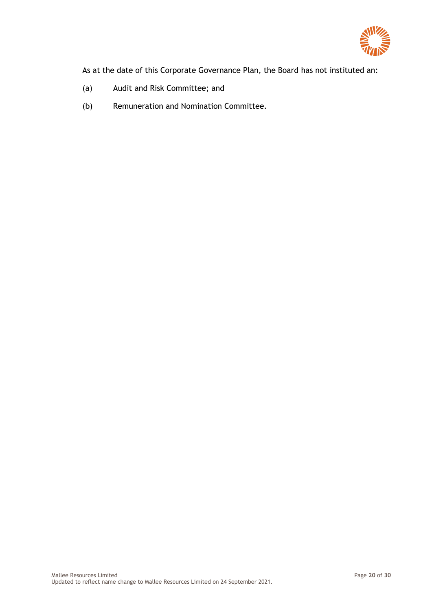

As at the date of this Corporate Governance Plan, the Board has not instituted an:

- (a) Audit and Risk Committee; and
- (b) Remuneration and Nomination Committee.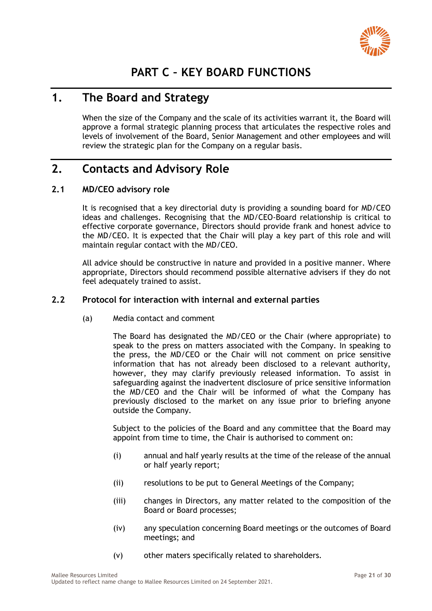

# **PART C – KEY BOARD FUNCTIONS**

# <span id="page-20-1"></span><span id="page-20-0"></span>**1. The Board and Strategy**

When the size of the Company and the scale of its activities warrant it, the Board will approve a formal strategic planning process that articulates the respective roles and levels of involvement of the Board, Senior Management and other employees and will review the strategic plan for the Company on a regular basis.

# <span id="page-20-2"></span>**2. Contacts and Advisory Role**

### <span id="page-20-3"></span>**2.1 MD/CEO advisory role**

It is recognised that a key directorial duty is providing a sounding board for MD/CEO ideas and challenges. Recognising that the MD/CEO-Board relationship is critical to effective corporate governance, Directors should provide frank and honest advice to the MD/CEO. It is expected that the Chair will play a key part of this role and will maintain regular contact with the MD/CEO.

All advice should be constructive in nature and provided in a positive manner. Where appropriate, Directors should recommend possible alternative advisers if they do not feel adequately trained to assist.

### <span id="page-20-4"></span>**2.2 Protocol for interaction with internal and external parties**

(a) Media contact and comment

The Board has designated the MD/CEO or the Chair (where appropriate) to speak to the press on matters associated with the Company. In speaking to the press, the MD/CEO or the Chair will not comment on price sensitive information that has not already been disclosed to a relevant authority, however, they may clarify previously released information. To assist in safeguarding against the inadvertent disclosure of price sensitive information the MD/CEO and the Chair will be informed of what the Company has previously disclosed to the market on any issue prior to briefing anyone outside the Company.

Subject to the policies of the Board and any committee that the Board may appoint from time to time, the Chair is authorised to comment on:

- (i) annual and half yearly results at the time of the release of the annual or half yearly report;
- (ii) resolutions to be put to General Meetings of the Company;
- (iii) changes in Directors, any matter related to the composition of the Board or Board processes;
- (iv) any speculation concerning Board meetings or the outcomes of Board meetings; and
- (v) other maters specifically related to shareholders.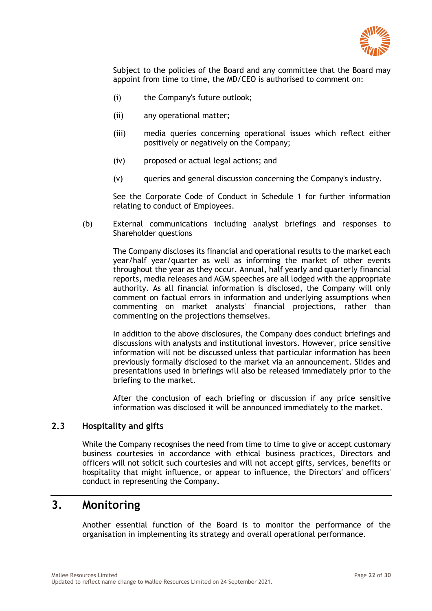

Subject to the policies of the Board and any committee that the Board may appoint from time to time, the MD/CEO is authorised to comment on:

- (i) the Company's future outlook;
- (ii) any operational matter;
- (iii) media queries concerning operational issues which reflect either positively or negatively on the Company;
- (iv) proposed or actual legal actions; and
- (v) queries and general discussion concerning the Company's industry.

See the Corporate Code of Conduct in Schedule 1 for further information relating to conduct of Employees.

(b) External communications including analyst briefings and responses to Shareholder questions

The Company discloses its financial and operational results to the market each year/half year/quarter as well as informing the market of other events throughout the year as they occur. Annual, half yearly and quarterly financial reports, media releases and AGM speeches are all lodged with the appropriate authority. As all financial information is disclosed, the Company will only comment on factual errors in information and underlying assumptions when commenting on market analysts' financial projections, rather than commenting on the projections themselves.

In addition to the above disclosures, the Company does conduct briefings and discussions with analysts and institutional investors. However, price sensitive information will not be discussed unless that particular information has been previously formally disclosed to the market via an announcement. Slides and presentations used in briefings will also be released immediately prior to the briefing to the market.

After the conclusion of each briefing or discussion if any price sensitive information was disclosed it will be announced immediately to the market.

### <span id="page-21-0"></span>**2.3 Hospitality and gifts**

While the Company recognises the need from time to time to give or accept customary business courtesies in accordance with ethical business practices, Directors and officers will not solicit such courtesies and will not accept gifts, services, benefits or hospitality that might influence, or appear to influence, the Directors' and officers' conduct in representing the Company.

# <span id="page-21-1"></span>**3. Monitoring**

Another essential function of the Board is to monitor the performance of the organisation in implementing its strategy and overall operational performance.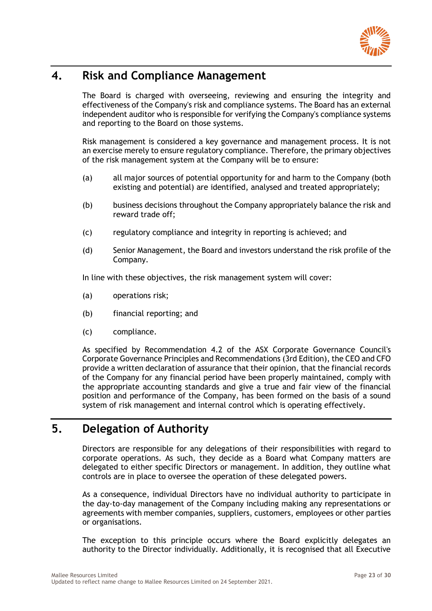

# <span id="page-22-0"></span>**4. Risk and Compliance Management**

The Board is charged with overseeing, reviewing and ensuring the integrity and effectiveness of the Company's risk and compliance systems. The Board has an external independent auditor who is responsible for verifying the Company's compliance systems and reporting to the Board on those systems.

Risk management is considered a key governance and management process. It is not an exercise merely to ensure regulatory compliance. Therefore, the primary objectives of the risk management system at the Company will be to ensure:

- (a) all major sources of potential opportunity for and harm to the Company (both existing and potential) are identified, analysed and treated appropriately;
- (b) business decisions throughout the Company appropriately balance the risk and reward trade off;
- (c) regulatory compliance and integrity in reporting is achieved; and
- (d) Senior Management, the Board and investors understand the risk profile of the Company.

In line with these objectives, the risk management system will cover:

- (a) operations risk;
- (b) financial reporting; and
- (c) compliance.

As specified by Recommendation 4.2 of the ASX Corporate Governance Council's Corporate Governance Principles and Recommendations (3rd Edition), the CEO and CFO provide a written declaration of assurance that their opinion, that the financial records of the Company for any financial period have been properly maintained, comply with the appropriate accounting standards and give a true and fair view of the financial position and performance of the Company, has been formed on the basis of a sound system of risk management and internal control which is operating effectively.

# <span id="page-22-1"></span>**5. Delegation of Authority**

Directors are responsible for any delegations of their responsibilities with regard to corporate operations. As such, they decide as a Board what Company matters are delegated to either specific Directors or management. In addition, they outline what controls are in place to oversee the operation of these delegated powers.

As a consequence, individual Directors have no individual authority to participate in the day-to-day management of the Company including making any representations or agreements with member companies, suppliers, customers, employees or other parties or organisations.

The exception to this principle occurs where the Board explicitly delegates an authority to the Director individually. Additionally, it is recognised that all Executive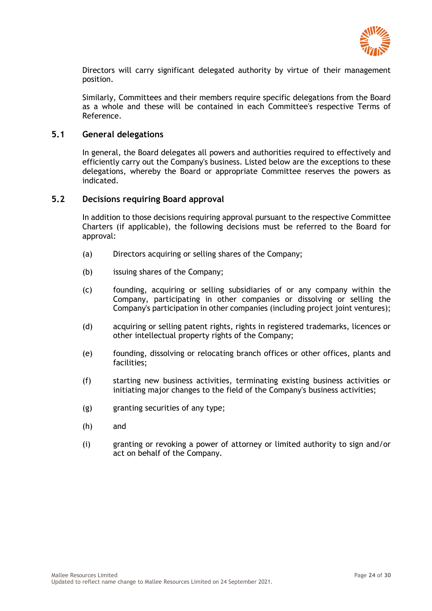

Directors will carry significant delegated authority by virtue of their management position.

Similarly, Committees and their members require specific delegations from the Board as a whole and these will be contained in each Committee's respective Terms of Reference.

### <span id="page-23-0"></span>**5.1 General delegations**

In general, the Board delegates all powers and authorities required to effectively and efficiently carry out the Company's business. Listed below are the exceptions to these delegations, whereby the Board or appropriate Committee reserves the powers as indicated.

#### <span id="page-23-1"></span>**5.2 Decisions requiring Board approval**

In addition to those decisions requiring approval pursuant to the respective Committee Charters (if applicable), the following decisions must be referred to the Board for approval:

- (a) Directors acquiring or selling shares of the Company;
- (b) issuing shares of the Company;
- (c) founding, acquiring or selling subsidiaries of or any company within the Company, participating in other companies or dissolving or selling the Company's participation in other companies (including project joint ventures);
- (d) acquiring or selling patent rights, rights in registered trademarks, licences or other intellectual property rights of the Company;
- (e) founding, dissolving or relocating branch offices or other offices, plants and facilities;
- (f) starting new business activities, terminating existing business activities or initiating major changes to the field of the Company's business activities;
- (g) granting securities of any type;
- (h) and
- (i) granting or revoking a power of attorney or limited authority to sign and/or act on behalf of the Company.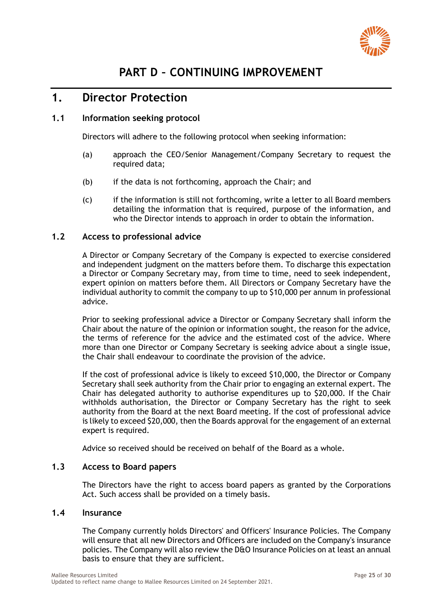

# <span id="page-24-1"></span><span id="page-24-0"></span>**1. Director Protection**

### <span id="page-24-2"></span>**1.1 Information seeking protocol**

Directors will adhere to the following protocol when seeking information:

- (a) approach the CEO/Senior Management/Company Secretary to request the required data:
- (b) if the data is not forthcoming, approach the Chair; and
- (c) if the information is still not forthcoming, write a letter to all Board members detailing the information that is required, purpose of the information, and who the Director intends to approach in order to obtain the information.

### <span id="page-24-3"></span>**1.2 Access to professional advice**

A Director or Company Secretary of the Company is expected to exercise considered and independent judgment on the matters before them. To discharge this expectation a Director or Company Secretary may, from time to time, need to seek independent, expert opinion on matters before them. All Directors or Company Secretary have the individual authority to commit the company to up to \$10,000 per annum in professional advice.

Prior to seeking professional advice a Director or Company Secretary shall inform the Chair about the nature of the opinion or information sought, the reason for the advice, the terms of reference for the advice and the estimated cost of the advice. Where more than one Director or Company Secretary is seeking advice about a single issue, the Chair shall endeavour to coordinate the provision of the advice.

If the cost of professional advice is likely to exceed \$10,000, the Director or Company Secretary shall seek authority from the Chair prior to engaging an external expert. The Chair has delegated authority to authorise expenditures up to \$20,000. If the Chair withholds authorisation, the Director or Company Secretary has the right to seek authority from the Board at the next Board meeting. If the cost of professional advice is likely to exceed \$20,000, then the Boards approval for the engagement of an external expert is required.

Advice so received should be received on behalf of the Board as a whole.

### <span id="page-24-4"></span>**1.3 Access to Board papers**

The Directors have the right to access board papers as granted by the Corporations Act. Such access shall be provided on a timely basis.

### <span id="page-24-5"></span>**1.4 Insurance**

The Company currently holds Directors' and Officers' Insurance Policies. The Company will ensure that all new Directors and Officers are included on the Company's insurance policies. The Company will also review the D&O Insurance Policies on at least an annual basis to ensure that they are sufficient.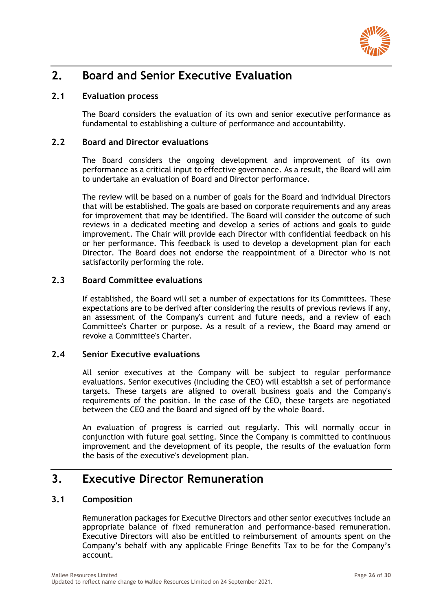

# <span id="page-25-0"></span>**2. Board and Senior Executive Evaluation**

### <span id="page-25-1"></span>**2.1 Evaluation process**

The Board considers the evaluation of its own and senior executive performance as fundamental to establishing a culture of performance and accountability.

### <span id="page-25-2"></span>**2.2 Board and Director evaluations**

The Board considers the ongoing development and improvement of its own performance as a critical input to effective governance. As a result, the Board will aim to undertake an evaluation of Board and Director performance.

The review will be based on a number of goals for the Board and individual Directors that will be established. The goals are based on corporate requirements and any areas for improvement that may be identified. The Board will consider the outcome of such reviews in a dedicated meeting and develop a series of actions and goals to guide improvement. The Chair will provide each Director with confidential feedback on his or her performance. This feedback is used to develop a development plan for each Director. The Board does not endorse the reappointment of a Director who is not satisfactorily performing the role.

### <span id="page-25-3"></span>**2.3 Board Committee evaluations**

If established, the Board will set a number of expectations for its Committees. These expectations are to be derived after considering the results of previous reviews if any, an assessment of the Company's current and future needs, and a review of each Committee's Charter or purpose. As a result of a review, the Board may amend or revoke a Committee's Charter.

### <span id="page-25-4"></span>**2.4 Senior Executive evaluations**

All senior executives at the Company will be subject to regular performance evaluations. Senior executives (including the CEO) will establish a set of performance targets. These targets are aligned to overall business goals and the Company's requirements of the position. In the case of the CEO, these targets are negotiated between the CEO and the Board and signed off by the whole Board.

An evaluation of progress is carried out regularly. This will normally occur in conjunction with future goal setting. Since the Company is committed to continuous improvement and the development of its people, the results of the evaluation form the basis of the executive's development plan.

## <span id="page-25-5"></span>**3. Executive Director Remuneration**

### <span id="page-25-6"></span>**3.1 Composition**

Remuneration packages for Executive Directors and other senior executives include an appropriate balance of fixed remuneration and performance-based remuneration. Executive Directors will also be entitled to reimbursement of amounts spent on the Company's behalf with any applicable Fringe Benefits Tax to be for the Company's account.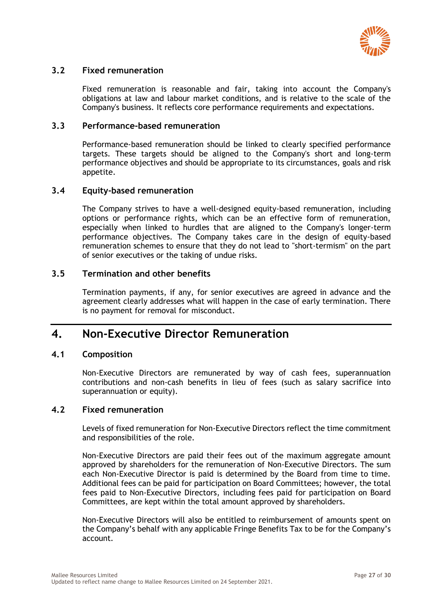

### <span id="page-26-0"></span>**3.2 Fixed remuneration**

Fixed remuneration is reasonable and fair, taking into account the Company's obligations at law and labour market conditions, and is relative to the scale of the Company's business. It reflects core performance requirements and expectations.

### <span id="page-26-1"></span>**3.3 Performance-based remuneration**

Performance-based remuneration should be linked to clearly specified performance targets. These targets should be aligned to the Company's short and long-term performance objectives and should be appropriate to its circumstances, goals and risk appetite.

### <span id="page-26-2"></span>**3.4 Equity-based remuneration**

The Company strives to have a well-designed equity-based remuneration, including options or performance rights, which can be an effective form of remuneration, especially when linked to hurdles that are aligned to the Company's longer-term performance objectives. The Company takes care in the design of equity-based remuneration schemes to ensure that they do not lead to "short-termism" on the part of senior executives or the taking of undue risks.

### <span id="page-26-3"></span>**3.5 Termination and other benefits**

Termination payments, if any, for senior executives are agreed in advance and the agreement clearly addresses what will happen in the case of early termination. There is no payment for removal for misconduct.

### <span id="page-26-4"></span>**4. Non-Executive Director Remuneration**

### <span id="page-26-5"></span>**4.1 Composition**

Non-Executive Directors are remunerated by way of cash fees, superannuation contributions and non-cash benefits in lieu of fees (such as salary sacrifice into superannuation or equity).

#### <span id="page-26-6"></span>**4.2 Fixed remuneration**

Levels of fixed remuneration for Non-Executive Directors reflect the time commitment and responsibilities of the role.

Non-Executive Directors are paid their fees out of the maximum aggregate amount approved by shareholders for the remuneration of Non-Executive Directors. The sum each Non-Executive Director is paid is determined by the Board from time to time. Additional fees can be paid for participation on Board Committees; however, the total fees paid to Non-Executive Directors, including fees paid for participation on Board Committees, are kept within the total amount approved by shareholders.

Non-Executive Directors will also be entitled to reimbursement of amounts spent on the Company's behalf with any applicable Fringe Benefits Tax to be for the Company's account.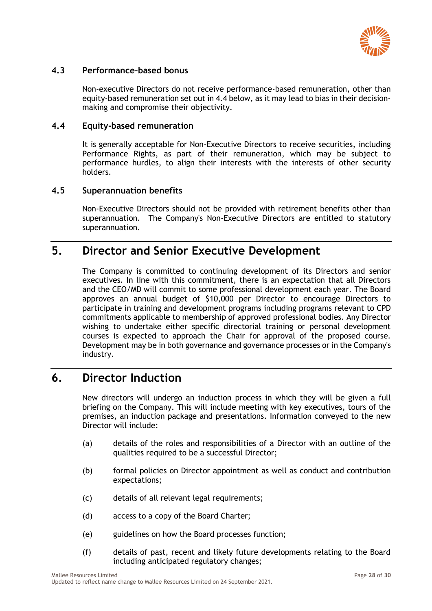

### <span id="page-27-0"></span>**4.3 Performance-based bonus**

Non-executive Directors do not receive performance-based remuneration, other than equity-based remuneration set out in 4.4 below, as it may lead to bias in their decisionmaking and compromise their objectivity.

### <span id="page-27-1"></span>**4.4 Equity-based remuneration**

It is generally acceptable for Non-Executive Directors to receive securities, including Performance Rights, as part of their remuneration, which may be subject to performance hurdles, to align their interests with the interests of other security holders.

### <span id="page-27-2"></span>**4.5 Superannuation benefits**

Non-Executive Directors should not be provided with retirement benefits other than superannuation. The Company's Non-Executive Directors are entitled to statutory superannuation.

## <span id="page-27-3"></span>**5. Director and Senior Executive Development**

The Company is committed to continuing development of its Directors and senior executives. In line with this commitment, there is an expectation that all Directors and the CEO/MD will commit to some professional development each year. The Board approves an annual budget of \$10,000 per Director to encourage Directors to participate in training and development programs including programs relevant to CPD commitments applicable to membership of approved professional bodies. Any Director wishing to undertake either specific directorial training or personal development courses is expected to approach the Chair for approval of the proposed course. Development may be in both governance and governance processes or in the Company's industry.

## <span id="page-27-4"></span>**6. Director Induction**

New directors will undergo an induction process in which they will be given a full briefing on the Company. This will include meeting with key executives, tours of the premises, an induction package and presentations. Information conveyed to the new Director will include:

- (a) details of the roles and responsibilities of a Director with an outline of the qualities required to be a successful Director;
- (b) formal policies on Director appointment as well as conduct and contribution expectations;
- (c) details of all relevant legal requirements;
- (d) access to a copy of the Board Charter;
- (e) guidelines on how the Board processes function;
- (f) details of past, recent and likely future developments relating to the Board including anticipated regulatory changes;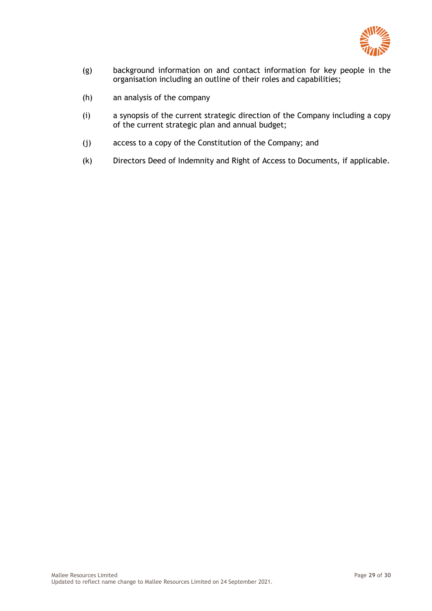

- (g) background information on and contact information for key people in the organisation including an outline of their roles and capabilities;
- (h) an analysis of the company
- (i) a synopsis of the current strategic direction of the Company including a copy of the current strategic plan and annual budget;
- (j) access to a copy of the Constitution of the Company; and
- (k) Directors Deed of Indemnity and Right of Access to Documents, if applicable.